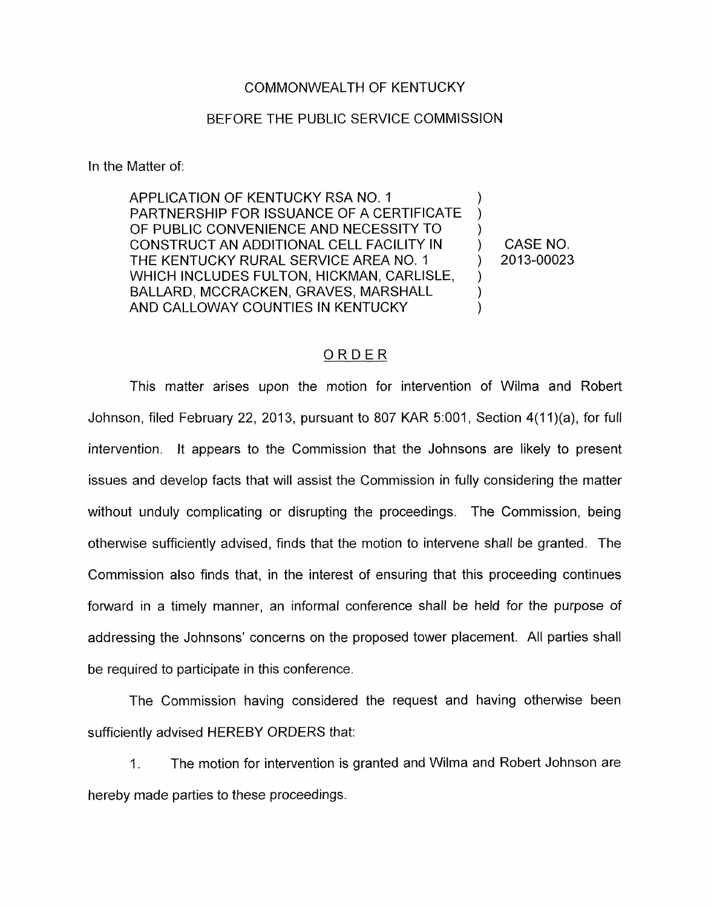## COMMONWEALTH OF KENTUCKY

## BEFORE THE PUBLIC SERVICE COMMISSION

In the Matter of:

APPLICATION OF KENTUCKY RSA NO. 1 PARTNERSHIP FOR ISSUANCE OF A CERTIFICATE OF PUBLIC CONVENIENCE AND NECESSITY TO CONSTRUCT AN ADDITIONAL CELL FACILITY IN  $\longrightarrow$  CASE NO.<br>THE KENTUCKY RURAL SERVICE AREA NO. 1  $\longrightarrow$  2013-00023 THE KENTUCKY RURAL SERVICE AREA NO. 1  $\qquad$ WHICH INCLUDES FULTON, HICKMAN, CARLISLE, BALLARD, MCCRACKEN, GRAVES, MARSHALL ) AND CALLOWAY COUNTIES IN KENTUCKY<br>
ORDER ) )  $\sum_{i=1}^n$ )

This matter arises upon the motion for intervention of Wilma and Robert Johnson, filed February 22, 2013, pursuant to 807 KAR 5:001, Section  $4(11)(a)$ , for full intervention. It appears to the Commission that the Johnsons are likely to present issues and develop facts that will assist the Commission in fully considering the matter without unduly complicating or disrupting the proceedings. The Commission, being otherwise sufficiently advised, finds that the motion to intervene shall be granted. The Commission also finds that, in the interest of ensuring that this proceeding continues forward in a timely manner, an informal conference shall be held for the purpose of addressing the Johnsons' concerns on the proposed tower placement. All parties shall be required to participate in this conference.

The Commission having considered the request and having otherwise been sufficiently advised HEREBY ORDERS that:

1. The motion for intervention is granted and Wilma and Robert Johnson are hereby made parties to these proceedings.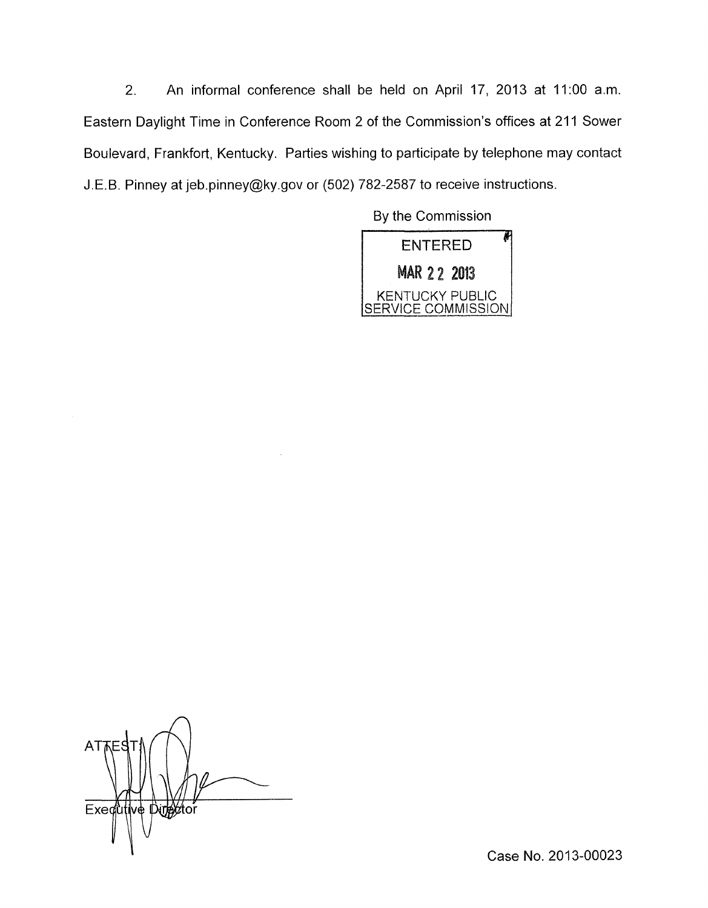2. An informal conference shall be held on April 17, 2013 at 11:OO a.m. Eastern Daylight Time in Conference Room 2 of the Commission's offices at 21 1 Sower Boulevard, Frankfort, Kentucky. Parties wishing to participate by telephone may contact J.E.B. Pinney at [jeb.pinney@ky.gov](mailto:jeb.pinney@ky.gov) or (502) 782-2587 to receive instructions.

By the Commission

**ENTERED MAR 22 2013** KENTUCKY PUBLIC<br>SERVICE COMMISSION

*n*  AT Exedutive Director

Case No. 2013-00023